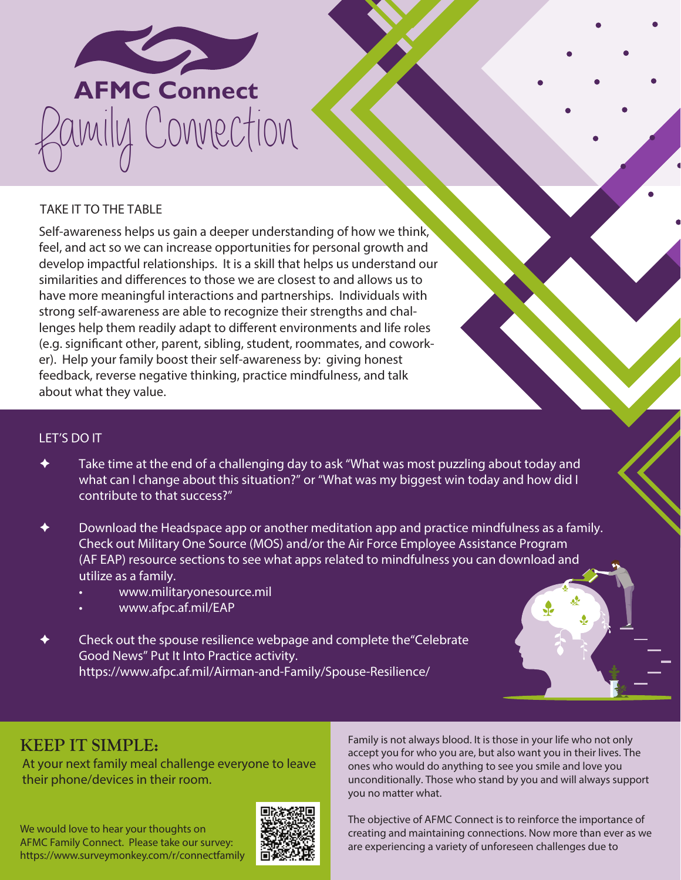

## TAKE IT TO THE TABLE

Self-awareness helps us gain a deeper understanding of how we think, feel, and act so we can increase opportunities for personal growth and develop impactful relationships. It is a skill that helps us understand our similarities and differences to those we are closest to and allows us to have more meaningful interactions and partnerships. Individuals with strong self-awareness are able to recognize their strengths and challenges help them readily adapt to different environments and life roles (e.g. signifcant other, parent, sibling, student, roommates, and coworker). Help your family boost their self-awareness by: giving honest feedback, reverse negative thinking, practice mindfulness, and talk about what they value.

## LET'S DO IT

- Take time at the end of a challenging day to ask "What was most puzzling about today and what can I change about this situation?" or "What was my biggest win today and how did I contribute to that success?"
- Download the Headspace app or another meditation app and practice mindfulness as a family. Check out Military One Source (MOS) and/or the Air Force Employee Assistance Program (AF EAP) resource sections to see what apps related to mindfulness you can download and utilize as a family.
	- <www.militaryonesource.mil>
	- <www.afpc.af.mil/EAP>
- Check out the spouse resilience webpage and complete the"Celebrate Good News" Put It Into Practice activity. [https://www.afpc.af.mil/Airman-and-Family/Spouse-Resilience/](https://www.afpc.af.mil/Airman-and-Family/Spouse-Resilience)

## **KEEP IT SIMPLE:**

At your next family meal challenge everyone to leave their phone/devices in their room.

We would love to hear your thoughts on AFMC Family Connect. Please take our survey: <https://www.surveymonkey.com/r/connectfamily>



Family is not always blood. It is those in your life who not only accept you for who you are, but also want you in their lives. The ones who would do anything to see you smile and love you unconditionally. Those who stand by you and will always support you no matter what.

The objective of AFMC Connect is to reinforce the importance of creating and maintaining connections. Now more than ever as we are experiencing a variety of unforeseen challenges due to